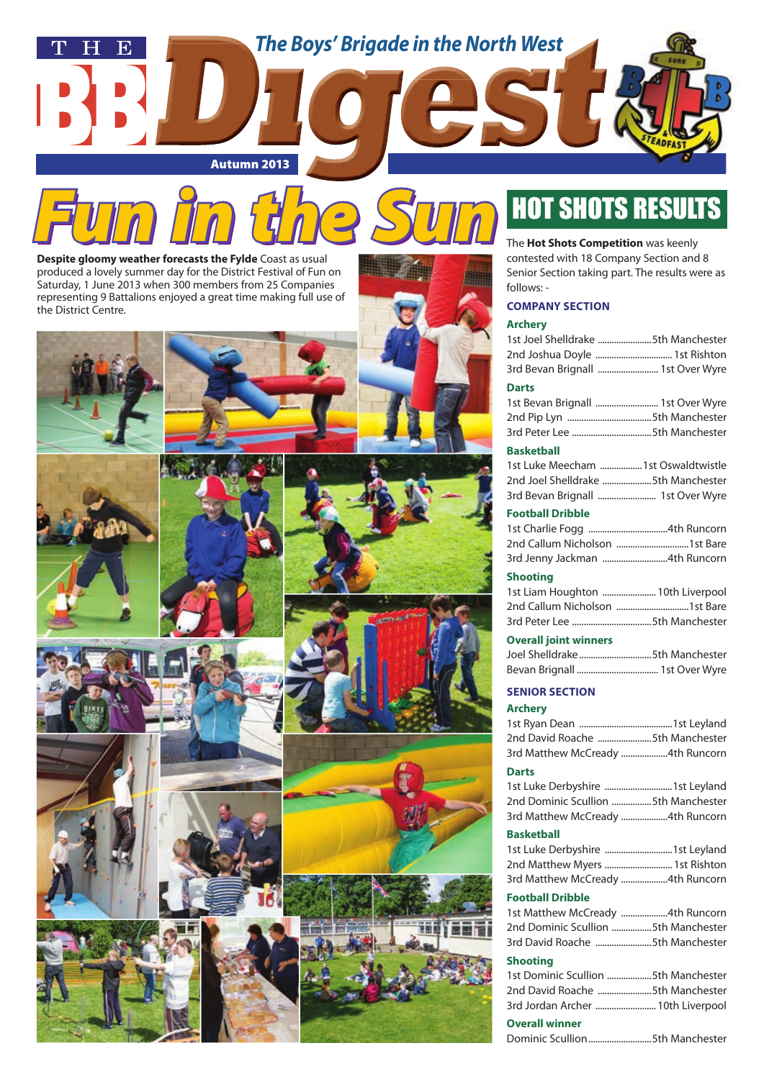





















| 1st Joel Shelldrake 5th Manchester                                     |  |
|------------------------------------------------------------------------|--|
| 2nd Joshua Doyle  1st Rishton                                          |  |
| 3rd Bevan Brignall  1st Over Wyre                                      |  |
| <b>Darts</b>                                                           |  |
| 1st Bevan Brignall  1st Over Wyre                                      |  |
|                                                                        |  |
|                                                                        |  |
| <b>Basketball</b>                                                      |  |
| 1st Luke Meecham  1st Oswaldtwistle                                    |  |
| 2nd Joel Shelldrake 5th Manchester                                     |  |
| 3rd Bevan Brignall  1st Over Wyre                                      |  |
| <b>Football Dribble</b>                                                |  |
|                                                                        |  |
|                                                                        |  |
| 3rd Jenny Jackman 4th Runcorn                                          |  |
| <b>Shooting</b>                                                        |  |
| 1st Liam Houghton  10th Liverpool                                      |  |
|                                                                        |  |
|                                                                        |  |
| <b>Overall joint winners</b>                                           |  |
| Joel Shelldrake5th Manchester                                          |  |
|                                                                        |  |
| <b>SENIOR SECTION</b>                                                  |  |
| <b>Archery</b>                                                         |  |
|                                                                        |  |
| 2nd David Roache 5th Manchester                                        |  |
| 3rd Matthew McCready 4th Runcorn                                       |  |
| <b>Darts</b>                                                           |  |
| 1st Luke Derbyshire 1st Leyland                                        |  |
| 2nd Dominic Scullion 5th Manchester                                    |  |
| 3rd Matthew McCready 4th Runcorn                                       |  |
| <b>Basketball</b>                                                      |  |
| 1st Luke Derbyshire 1st Leyland                                        |  |
| 2nd Matthew Myers  1st Rishton                                         |  |
| 3rd Matthew McCready 4th Runcorn                                       |  |
|                                                                        |  |
| <b>Football Dribble</b>                                                |  |
| 1st Matthew McCready 4th Runcorn                                       |  |
| 2nd Dominic Scullion 5th Manchester<br>3rd David Roache 5th Manchester |  |
|                                                                        |  |
| <b>Shooting</b>                                                        |  |
| 1st Dominic Scullion 5th Manchester                                    |  |
| 2nd David Roache 5th Manchester                                        |  |
| 3rd Jordan Archer  10th Liverpool                                      |  |

#### **Overall winner**

Dominic Scullion ...........................5th Manchester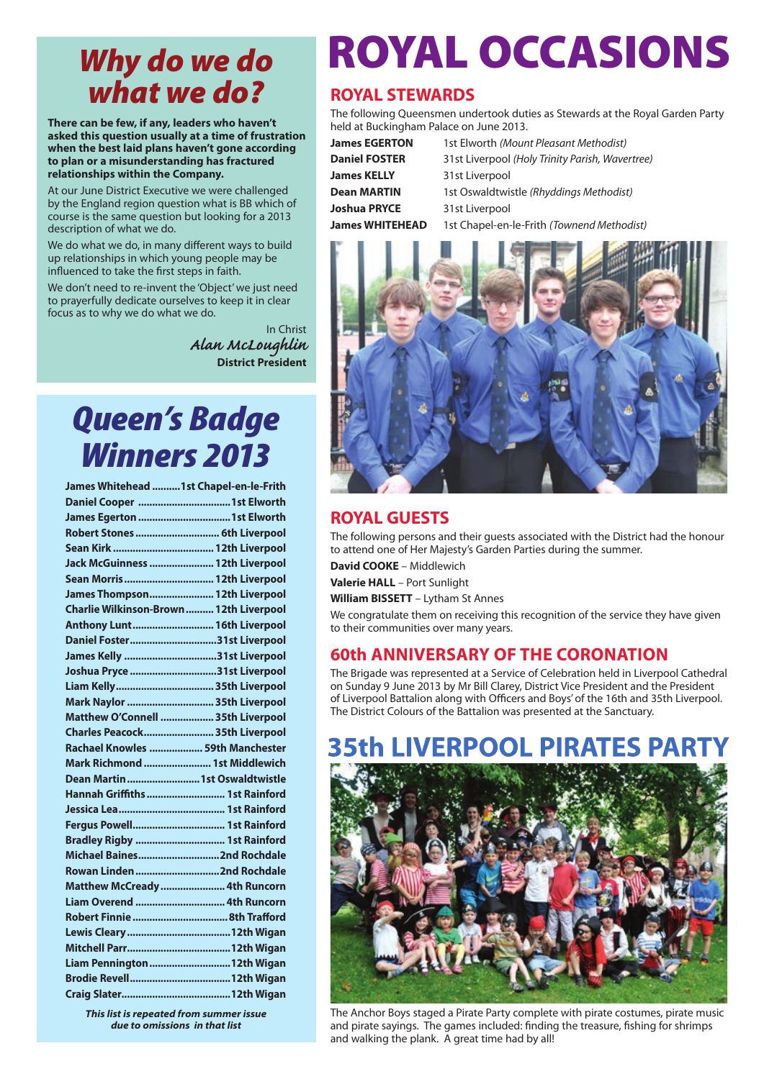### *Why do we do what we do?*

**There can be few, if any, leaders who haven't asked this question usually at a time of frustration when the best laid plans haven't gone according to plan or a misunderstanding has fractured relationships within the Company.** 

At our June District Executive we were challenged by the England region question what is BB which of course is the same question but looking for a 2013 description of what we do.

We do what we do, in many different ways to build up relationships in which young people may be influenced to take the first steps in faith.

We don't need to re-invent the 'Object' we just need to prayerfully dedicate ourselves to keep it in clear focus as to why we do what we do.

> In Christ *Alan McLoughlin* **District President**

## *Queen's Badge Winners 2013*

| James Whitehead  1st Chapel-en-le-Frith |  |
|-----------------------------------------|--|
|                                         |  |
| James Egerton  1st Elworth              |  |
| Robert Stones  6th Liverpool            |  |
|                                         |  |
| Jack McGuinness  12th Liverpool         |  |
| Sean Morris  12th Liverpool             |  |
| James Thompson 12th Liverpool           |  |
| Charlie Wilkinson-Brown  12th Liverpool |  |
| Anthony Lunt 16th Liverpool             |  |
| Daniel Foster31st Liverpool             |  |
| James Kelly 31st Liverpool              |  |
| Joshua Pryce 31st Liverpool             |  |
| Liam Kelly 35th Liverpool               |  |
| Mark Naylor  35th Liverpool             |  |
| Matthew O'Connell  35th Liverpool       |  |
| Charles Peacock 35th Liverpool          |  |
|                                         |  |
| Rachael Knowles  59th Manchester        |  |
| Mark Richmond  1st Middlewich           |  |
| Dean Martin  1st Oswaldtwistle          |  |
| Hannah Griffiths  1st Rainford          |  |
|                                         |  |
| Fergus Powell 1st Rainford              |  |
| Bradley Rigby  1st Rainford             |  |
| Michael Baines2nd Rochdale              |  |
| Rowan Linden 2nd Rochdale               |  |
| Matthew McCready  4th Runcorn           |  |
| Liam Overend  4th Runcorn               |  |
|                                         |  |
|                                         |  |
|                                         |  |
| Liam Pennington 12th Wigan              |  |
|                                         |  |

*This list is repeated from summer issue due to omissions in that list*

# ROYAL OCCASIONS

### **ROYAL STEWARDS**

The following Queensmen undertook duties as Stewards at the Royal Garden Party held at Buckingham Palace on June 2013.

| <b>James EGERTON</b> | 1st Elworth (Mount Pleasant Methodist)          |  |
|----------------------|-------------------------------------------------|--|
| <b>Daniel FOSTER</b> | 31st Liverpool (Holy Trinity Parish, Wavertree) |  |
| James KELLY          | 31st Liverpool                                  |  |
| <b>Dean MARTIN</b>   | 1st Oswaldtwistle (Rhyddings Methodist)         |  |
| Joshua PRYCE         | 31st Liverpool                                  |  |
| James WHITEHEAD      | 1st Chapel-en-le-Frith (Townend Methodist)      |  |



### **ROYAL GUESTS**

The following persons and their guests associated with the District had the honour to attend one of Her Majesty's Garden Parties during the summer.

**David COOKE** – Middlewich

**Valerie HALL** – Port Sunlight

**William BISSETT** – Lytham St Annes

We congratulate them on receiving this recognition of the service they have given to their communities over many years.

### **60th Anniversary of the Coronation**

The Brigade was represented at a Service of Celebration held in Liverpool Cathedral on Sunday 9 June 2013 by Mr Bill Clarey, District Vice President and the President of Liverpool Battalion along with Officers and Boys' of the 16th and 35th Liverpool. The District Colours of the Battalion was presented at the Sanctuary.

#### **FRPO PIRAT** FS PAR



The Anchor Boys staged a Pirate Party complete with pirate costumes, pirate music and pirate sayings. The games included: finding the treasure, fishing for shrimps and walking the plank. A great time had by all!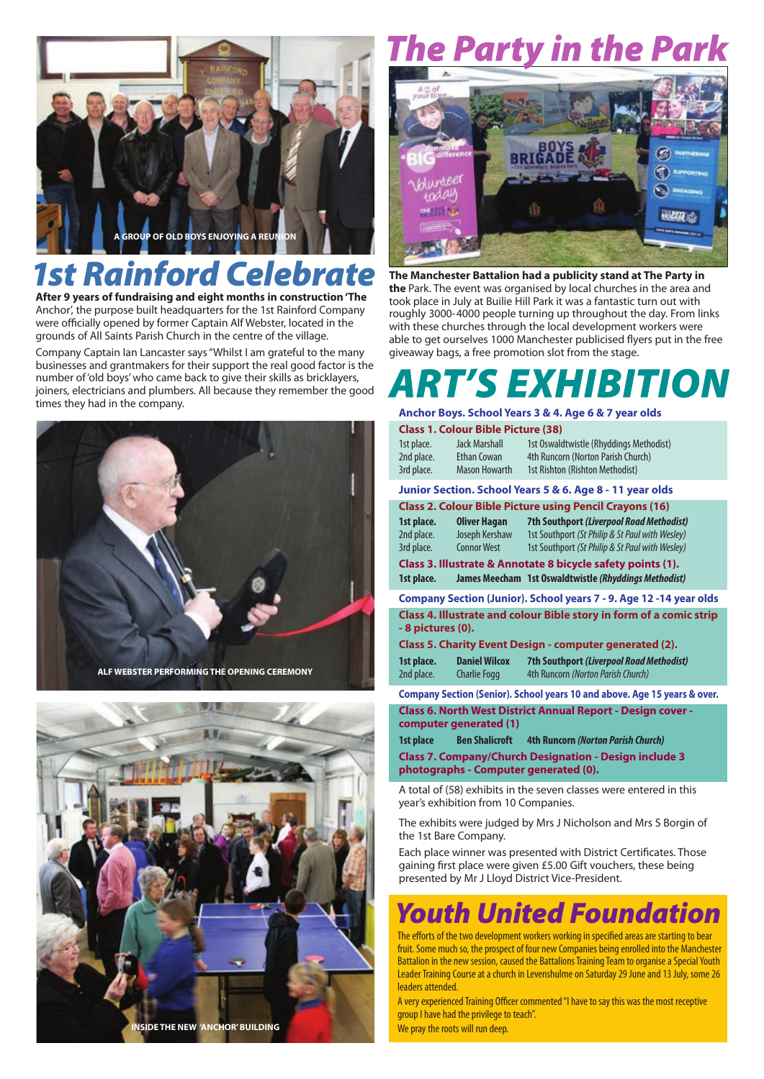

# *1st Rainford Celebrate*

**After 9 years of fundraising and eight months in construction 'The** Anchor', the purpose built headquarters for the 1st Rainford Company were officially opened by former Captain Alf Webster, located in the grounds of All Saints Parish Church in the centre of the village.

Company Captain Ian Lancaster says "Whilst I am grateful to the many businesses and grantmakers for their support the real good factor is the number of 'old boys' who came back to give their skills as bricklayers, joiners, electricians and plumbers. All because they remember the good times they had in the company.





# 'he Party in the Park



**The Manchester Battalion had a publicity stand at The Party in the** Park. The event was organised by local churches in the area and took place in July at Builie Hill Park it was a fantastic turn out with roughly 3000-4000 people turning up throughout the day. From links with these churches through the local development workers were able to get ourselves 1000 Manchester publicised flyers put in the free giveaway bags, a free promotion slot from the stage.

# *'S EXHIBITION*

#### **Anchor Boys. School Years 3 & 4. Age 6 & 7 year olds**

#### **Class 1. Colour Bible Picture (38)**

| 1st place. | Jack Marshall        | 1st Oswaldtwistle (Rhyddings Methodist) |
|------------|----------------------|-----------------------------------------|
| 2nd place. | Ethan Cowan          | 4th Runcorn (Norton Parish Church)      |
| 3rd place. | <b>Mason Howarth</b> | 1st Rishton (Rishton Methodist)         |

### **Junior Section. School Years 5 & 6. Age 8 - 11 year olds**

**Class 2. Colour Bible Picture using Pencil Crayons (16)**

**1st place. Oliver Hagan 7th Southport** *(Liverpool Road Methodist)***<br>
2nd place. Joseph Kershaw 1st Southport** *(St Philip & St Paul with Wesley)* 1st Southport *(St Philip & St Paul with Wesley)* 3rd place. Connor West 1st Southport *(St Philip & St Paul with Wesley)*

**Class 3. Illustrate & Annotate 8 bicycle safety points (1). 1st place. James Meecham 1st Oswaldtwistle** *(Rhyddings Methodist)*

**Company Section (Junior). School years 7 - 9. Age 12 -14 year olds Class 4. Illustrate and colour Bible story in form of a comic strip - 8 pictures (0).**

**Class 5. Charity Event Design - computer generated (2).**

| 1st place. | <b>Daniel Wilcox</b> | 7th Southport (Liverpool Road Methodist) |
|------------|----------------------|------------------------------------------|
| 2nd place. | <b>Charlie Fogg</b>  | 4th Runcorn (Norton Parish Church)       |

**Company Section (Senior). School years 10 and above. Age 15 years & over. Class 6. North West District Annual Report - Design cover computer generated (1)**

**1st place Ben Shalicroft 4th Runcorn** *(Norton Parish Church)*

**Class 7. Company/Church Designation - Design include 3 photographs - Computer generated (0).**

A total of (58) exhibits in the seven classes were entered in this year's exhibition from 10 Companies.

The exhibits were judged by Mrs J Nicholson and Mrs S Borgin of the 1st Bare Company.

Each place winner was presented with District Certificates. Those gaining first place were given £5.00 Gift vouchers, these being presented by Mr J Lloyd District Vice-President.

### *Youth United Foundation*

The efforts of the two development workers working in specified areas are starting to bear fruit. Some much so, the prospect of four new Companies being enrolled into the Manchester Battalion in the new session, caused the Battalions Training Team to organise a Special Youth Leader Training Course at a church in Levenshulme on Saturday 29 June and 13 July, some 26 leaders attended.

A very experienced Training Officer commented "I have to say this was the most receptive group I have had the privilege to teach". We pray the roots will run deep.